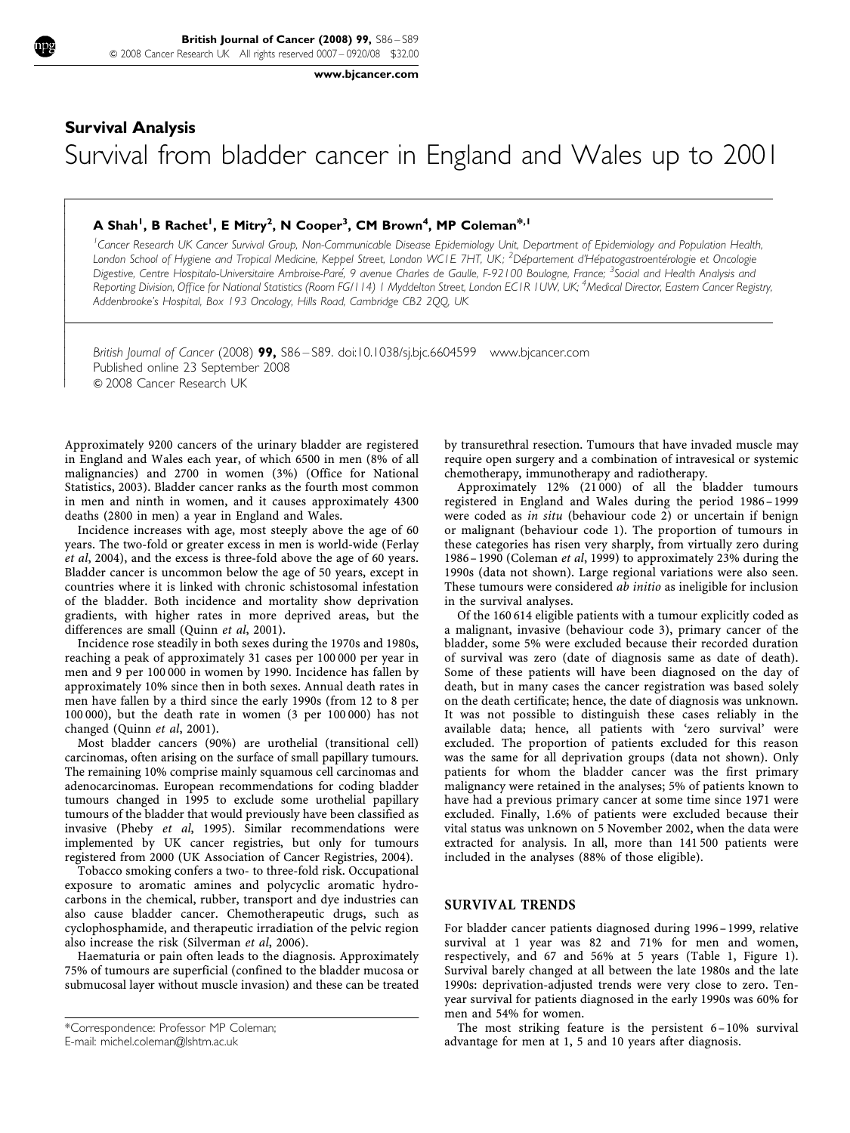$\overline{1}$ ſ I  $\overline{\phantom{a}}$  $\overline{\phantom{a}}$  $\overline{\phantom{a}}$  $\overline{\phantom{a}}$  $\overline{\phantom{a}}$  $\overline{\phantom{a}}$  $\overline{\phantom{a}}$  $\overline{\phantom{a}}$  $\overline{\phantom{a}}$  $\overline{\phantom{a}}$  $\overline{\phantom{a}}$  $\overline{\phantom{a}}$  $\overline{\phantom{a}}$ ł  $\overline{\phantom{a}}$  $\overline{\phantom{a}}$  $\overline{\phantom{a}}$  $\overline{\phantom{a}}$  $\overline{\phantom{a}}$  $\overline{\phantom{a}}$  $\overline{\phantom{a}}$  [www.bjcancer.com](http://www.bjcancer.com)

# Survival Analysis Survival from bladder cancer in England and Wales up to 2001

## A Shah<sup>1</sup>, B Rachet<sup>1</sup>, E Mitry<sup>2</sup>, N Cooper<sup>3</sup>, CM Brown<sup>4</sup>, MP Coleman<sup>\*, 1</sup>

<sup>1</sup> Cancer Research UK Cancer Survival Group, Non-Communicable Disease Epidemiology Unit, Department of Epidemiology and Population Health, London School of Hygiene and Tropical Medicine, Keppel Street, London WCTE 7HT, UK; <sup>2</sup>Département d'Hépatogastroentérologie et Oncologie Digestive, Centre Hospitalo-Universitaire Ambroise-Paré, 9 avenue Charles de Gaulle, F-92100 Boulogne, France; <sup>3</sup>Social and Health Analysis and Reporting Division, Office for National Statistics (Room FG/114) | Myddelton Street, London EC1R I UW, UK; <sup>4</sup>Medical Director, Eastern Cancer Registry, Addenbrooke's Hospital, Box 193 Oncology, Hills Road, Cambridge CB2 2QQ, UK

British Journal of Cancer (2008) 99, S86 – S89. doi[:10.1038/sj.bjc.6604599](http://dx.doi.org/10.1038/sj.bjc.6604599) [www.bjcancer.com](http://www.bjcancer.com) Published online 23 September 2008 & 2008 Cancer Research UK

Approximately 9200 cancers of the urinary bladder are registered in England and Wales each year, of which 6500 in men (8% of all malignancies) and 2700 in women (3%) ([Office for National](#page-3-0) [Statistics, 2003](#page-3-0)). Bladder cancer ranks as the fourth most common in men and ninth in women, and it causes approximately 4300 deaths (2800 in men) a year in England and Wales.

Incidence increases with age, most steeply above the age of 60 years. The two-fold or greater excess in men is world-wide ([Ferlay](#page-3-0) et al[, 2004\)](#page-3-0), and the excess is three-fold above the age of 60 years. Bladder cancer is uncommon below the age of 50 years, except in countries where it is linked with chronic schistosomal infestation of the bladder. Both incidence and mortality show deprivation gradients, with higher rates in more deprived areas, but the differences are small [\(Quinn](#page-3-0) et al, 2001).

Incidence rose steadily in both sexes during the 1970s and 1980s, reaching a peak of approximately 31 cases per 100 000 per year in men and 9 per 100 000 in women by 1990. Incidence has fallen by approximately 10% since then in both sexes. Annual death rates in men have fallen by a third since the early 1990s (from 12 to 8 per 100 000), but the death rate in women (3 per 100 000) has not changed [\(Quinn](#page-3-0) et al, 2001).

Most bladder cancers (90%) are urothelial (transitional cell) carcinomas, often arising on the surface of small papillary tumours. The remaining 10% comprise mainly squamous cell carcinomas and adenocarcinomas. European recommendations for coding bladder tumours changed in 1995 to exclude some urothelial papillary tumours of the bladder that would previously have been classified as invasive (Pheby et al[, 1995](#page-3-0)). Similar recommendations were implemented by UK cancer registries, but only for tumours registered from 2000 [\(UK Association of Cancer Registries, 2004](#page-3-0)).

Tobacco smoking confers a two- to three-fold risk. Occupational exposure to aromatic amines and polycyclic aromatic hydrocarbons in the chemical, rubber, transport and dye industries can also cause bladder cancer. Chemotherapeutic drugs, such as cyclophosphamide, and therapeutic irradiation of the pelvic region also increase the risk [\(Silverman](#page-3-0) et al, 2006).

Haematuria or pain often leads to the diagnosis. Approximately 75% of tumours are superficial (confined to the bladder mucosa or submucosal layer without muscle invasion) and these can be treated

E-mail: [michel.coleman@lshtm.ac.uk](mailto:michel.coleman@lshtm.ac.uk)

by transurethral resection. Tumours that have invaded muscle may require open surgery and a combination of intravesical or systemic chemotherapy, immunotherapy and radiotherapy.

Approximately 12% (21 000) of all the bladder tumours registered in England and Wales during the period 1986–1999 were coded as in situ (behaviour code 2) or uncertain if benign or malignant (behaviour code 1). The proportion of tumours in these categories has risen very sharply, from virtually zero during 1986– 1990 ([Coleman](#page-3-0) et al, 1999) to approximately 23% during the 1990s (data not shown). Large regional variations were also seen. These tumours were considered *ab initio* as ineligible for inclusion in the survival analyses.

Of the 160 614 eligible patients with a tumour explicitly coded as a malignant, invasive (behaviour code 3), primary cancer of the bladder, some 5% were excluded because their recorded duration of survival was zero (date of diagnosis same as date of death). Some of these patients will have been diagnosed on the day of death, but in many cases the cancer registration was based solely on the death certificate; hence, the date of diagnosis was unknown. It was not possible to distinguish these cases reliably in the available data; hence, all patients with 'zero survival' were excluded. The proportion of patients excluded for this reason was the same for all deprivation groups (data not shown). Only patients for whom the bladder cancer was the first primary malignancy were retained in the analyses; 5% of patients known to have had a previous primary cancer at some time since 1971 were excluded. Finally, 1.6% of patients were excluded because their vital status was unknown on 5 November 2002, when the data were extracted for analysis. In all, more than 141 500 patients were included in the analyses (88% of those eligible).

#### SURVIVAL TRENDS

For bladder cancer patients diagnosed during 1996–1999, relative survival at 1 year was 82 and 71% for men and women, respectively, and 67 and 56% at 5 years ([Table 1, Figure 1\)](#page-1-0). Survival barely changed at all between the late 1980s and the late 1990s: deprivation-adjusted trends were very close to zero. Tenyear survival for patients diagnosed in the early 1990s was 60% for men and 54% for women.

The most striking feature is the persistent 6– 10% survival advantage for men at 1, 5 and 10 years after diagnosis.

<sup>\*</sup>Correspondence: Professor MP Coleman;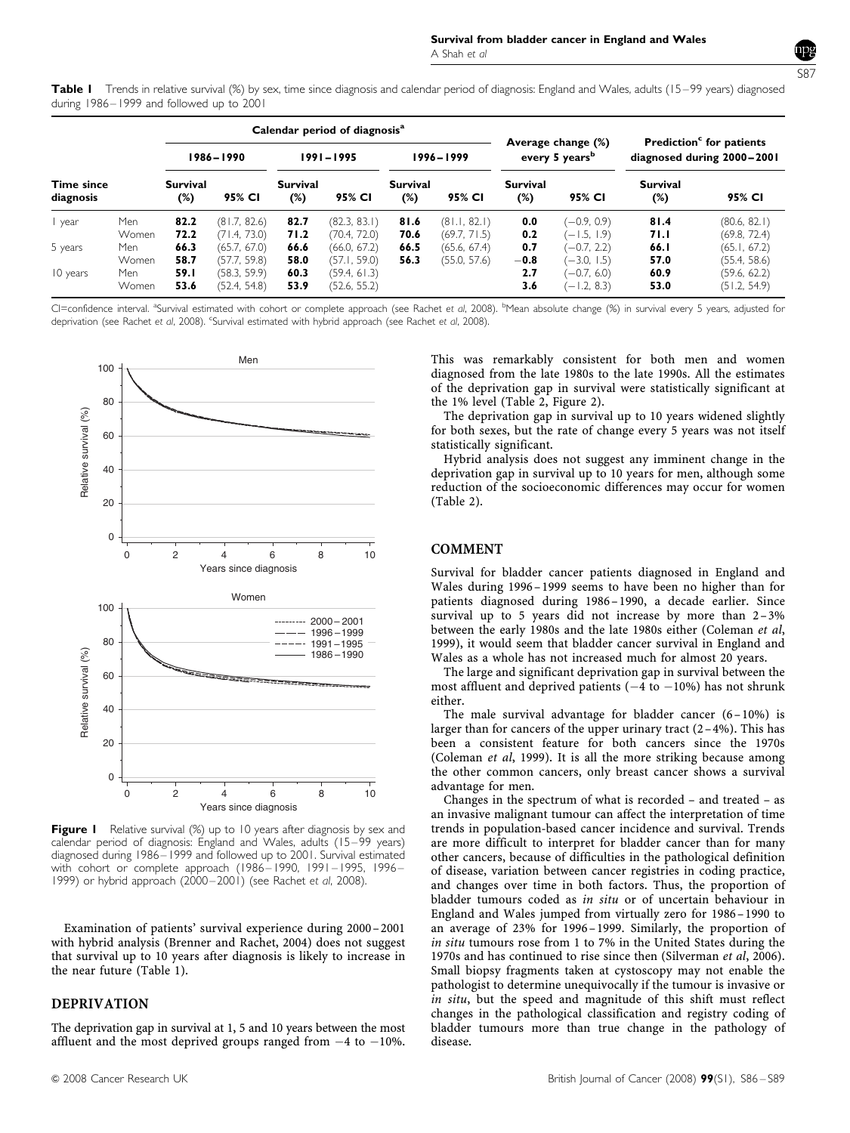

<span id="page-1-0"></span>Table I Trends in relative survival (%) by sex, time since diagnosis and calendar period of diagnosis: England and Wales, adults (15–99 years) diagnosed during 1986–1999 and followed up to 2001

|                                |                              | Calendar period of diagnosis <sup>a</sup> |                                                              |                              |                                                              |                           |                              |                                                  |                                                                  |                                                                    |                                                              |
|--------------------------------|------------------------------|-------------------------------------------|--------------------------------------------------------------|------------------------------|--------------------------------------------------------------|---------------------------|------------------------------|--------------------------------------------------|------------------------------------------------------------------|--------------------------------------------------------------------|--------------------------------------------------------------|
|                                |                              | 1986-1990                                 |                                                              | $1991 - 1995$                |                                                              | 1996 - 1999               |                              | Average change (%)<br>every 5 years <sup>b</sup> |                                                                  | Prediction <sup>c</sup> for patients<br>diagnosed during 2000-2001 |                                                              |
| <b>Time since</b><br>diagnosis |                              | <b>Survival</b><br>(%)                    | 95% CI                                                       | Survival<br>$(\%)$           | 95% CI                                                       | <b>Survival</b><br>$(\%)$ | 95% CI                       | <b>Survival</b><br>(%)                           | 95% CI                                                           | <b>Survival</b><br>$(\%)$                                          | 95% CI                                                       |
| l year                         | Men<br>Women                 | 82.2<br>72.2                              | (81.7, 82.6)<br>(71.4, 73.0)                                 | 82.7<br>71.2                 | (82.3, 83.1)<br>(70.4, 72.0)                                 | 81.6<br>70.6              | (81.1, 82.1)<br>(69.7, 71.5) | 0.0<br>0.2                                       | $(-0.9, 0.9)$<br>$(-1.5, 1.9)$                                   | 81.4<br>71.I                                                       | (80.6, 82.1)<br>(69.8, 72.4)                                 |
| 5 years<br>10 years            | Men<br>Women<br>Men<br>Women | 66.3<br>58.7<br>59.I<br>53.6              | (65.7, 67.0)<br>(57.7, 59.8)<br>(58.3, 59.9)<br>(52.4, 54.8) | 66.6<br>58.0<br>60.3<br>53.9 | (66.0, 67.2)<br>(57.1, 59.0)<br>(59.4, 61.3)<br>(52.6, 55.2) | 66.5<br>56.3              | (65.6, 67.4)<br>(55.0, 57.6) | 0.7<br>$-0.8$<br>2.7<br>3.6                      | $(-0.7, 2.2)$<br>$(-3.0, 1.5)$<br>$(-0.7, 6.0)$<br>$(-1.2, 8.3)$ | 66.I<br>57.0<br>60.9<br>53.0                                       | (65.1, 67.2)<br>(55.4, 58.6)<br>(59.6, 62.2)<br>(51.2, 54.9) |

CI=confidence interval. <sup>a</sup>Survival estimated with cohort or complete approach (see [Rachet](#page-3-0) e*t al*, 2008). <sup>b</sup>Mean absolute change (%) in survival every 5 years, adjusted for deprivation (see [Rachet](#page-3-0) et al, 2008). <sup>c</sup>Survival estimated with hybrid approach (see Rachet et al, 2008).



Figure I Relative survival (%) up to 10 years after diagnosis by sex and calendar period of diagnosis: England and Wales, adults (15–99 years) diagnosed during 1986–1999 and followed up to 2001. Survival estimated with cohort or complete approach (1986–1990, 1991–1995, 1996– 1999) or hybrid approach (2000–2001) (see [Rachet](#page-3-0) et al, 2008).

Examination of patients' survival experience during 2000–2001 with hybrid analysis [\(Brenner and Rachet, 2004](#page-3-0)) does not suggest that survival up to 10 years after diagnosis is likely to increase in the near future (Table 1).

## DEPRIVATION

The deprivation gap in survival at 1, 5 and 10 years between the most affluent and the most deprived groups ranged from  $-4$  to  $-10\%$ .

This was remarkably consistent for both men and women diagnosed from the late 1980s to the late 1990s. All the estimates of the deprivation gap in survival were statistically significant at the 1% level [\(Table 2, Figure 2](#page-2-0)).

The deprivation gap in survival up to 10 years widened slightly for both sexes, but the rate of change every 5 years was not itself statistically significant.

Hybrid analysis does not suggest any imminent change in the deprivation gap in survival up to 10 years for men, although some reduction of the socioeconomic differences may occur for women [\(Table 2\)](#page-2-0).

## COMMENT

Survival for bladder cancer patients diagnosed in England and Wales during 1996–1999 seems to have been no higher than for patients diagnosed during 1986–1990, a decade earlier. Since survival up to 5 years did not increase by more than  $2-3\%$ between the early 1980s and the late 1980s either ([Coleman](#page-3-0) et al, [1999](#page-3-0)), it would seem that bladder cancer survival in England and Wales as a whole has not increased much for almost 20 years.

The large and significant deprivation gap in survival between the most affluent and deprived patients  $(-4 \text{ to } -10\%)$  has not shrunk either.

The male survival advantage for bladder cancer (6–10%) is larger than for cancers of the upper urinary tract  $(2-4\%)$ . This has been a consistent feature for both cancers since the 1970s [\(Coleman](#page-3-0) et al, 1999). It is all the more striking because among the other common cancers, only breast cancer shows a survival advantage for men.

Changes in the spectrum of what is recorded – and treated – as an invasive malignant tumour can affect the interpretation of time trends in population-based cancer incidence and survival. Trends are more difficult to interpret for bladder cancer than for many other cancers, because of difficulties in the pathological definition of disease, variation between cancer registries in coding practice, and changes over time in both factors. Thus, the proportion of bladder tumours coded as in situ or of uncertain behaviour in England and Wales jumped from virtually zero for 1986– 1990 to an average of 23% for 1996–1999. Similarly, the proportion of in situ tumours rose from 1 to 7% in the United States during the 1970s and has continued to rise since then [\(Silverman](#page-3-0) et al, 2006). Small biopsy fragments taken at cystoscopy may not enable the pathologist to determine unequivocally if the tumour is invasive or in situ, but the speed and magnitude of this shift must reflect changes in the pathological classification and registry coding of bladder tumours more than true change in the pathology of disease.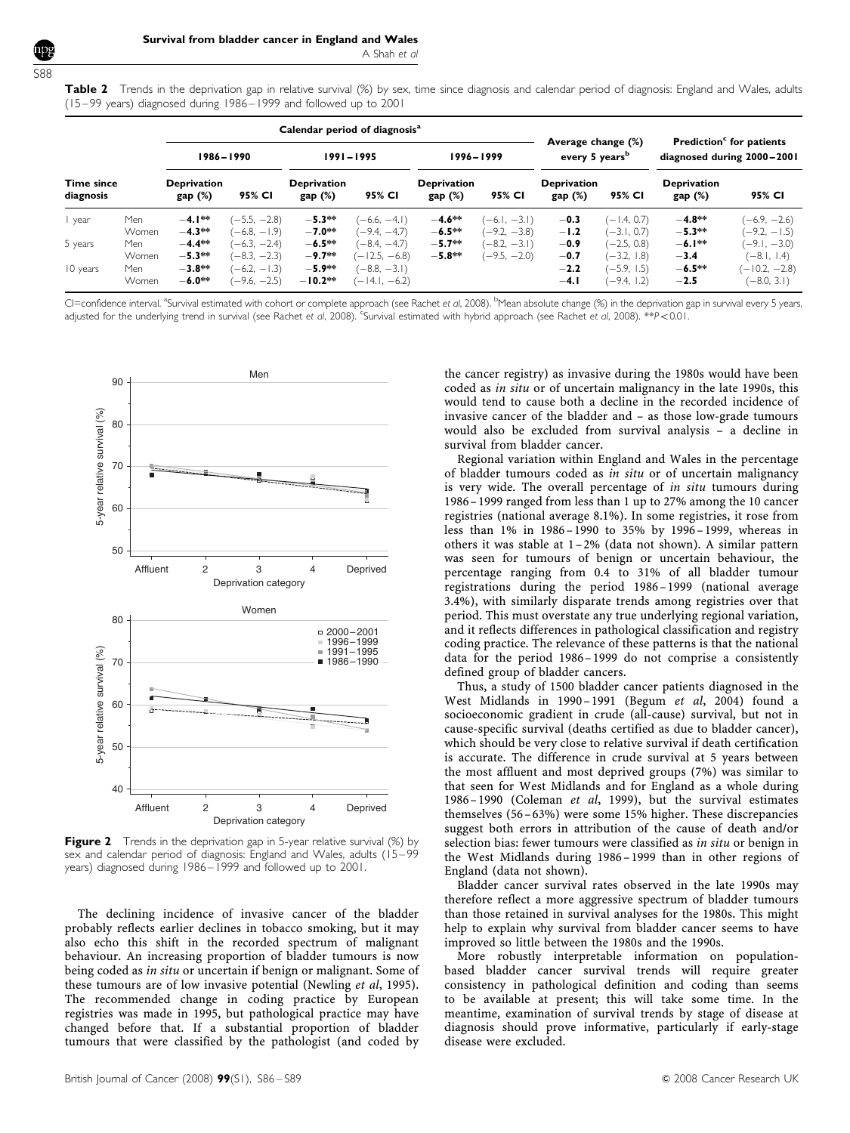<span id="page-2-0"></span>S88

Table 2 Trends in the deprivation gap in relative survival (%) by sex, time since diagnosis and calendar period of diagnosis: England and Wales, adults (15–99 years) diagnosed during 1986–1999 and followed up to 2001

|                         |                              | Calendar period of diagnosis <sup>a</sup>    |                                                                    |                                               |                                                                    |                              |                                  |                                                  |                                                                  |                                                                    |                                                                     |
|-------------------------|------------------------------|----------------------------------------------|--------------------------------------------------------------------|-----------------------------------------------|--------------------------------------------------------------------|------------------------------|----------------------------------|--------------------------------------------------|------------------------------------------------------------------|--------------------------------------------------------------------|---------------------------------------------------------------------|
|                         |                              | 1986-1990                                    |                                                                    | $1991 - 1995$                                 |                                                                    | $1996 - 1999$                |                                  | Average change (%)<br>every 5 years <sup>b</sup> |                                                                  | Prediction <sup>c</sup> for patients<br>diagnosed during 2000-2001 |                                                                     |
| Time since<br>diagnosis |                              | <b>Deprivation</b><br>gap(%)                 | 95% CI                                                             | <b>Deprivation</b><br>gap(%)                  | 95% CI                                                             | <b>Deprivation</b><br>gap(%) | 95% CI                           | <b>Deprivation</b><br>gap(%)                     | 95% CI                                                           | <b>Deprivation</b><br>gap(%)                                       | 95% CI                                                              |
| year                    | Men<br>Women                 | $-4.1***$<br>$-4.3**$                        | $(-5.5, -2.8)$<br>$(-6.8, -1.9)$                                   | $-5.3**$<br>$-7.0**$                          | $(-6.6, -4.1)$<br>$(-9.4, -4.7)$                                   | $-4.6**$<br>$-6.5**$         | $(-6.1, -3.1)$<br>$(-9.2, -3.8)$ | $-0.3$<br>$-1.2$                                 | $(-1.4, 0.7)$<br>$(-3.1, 0.7)$                                   | $-4.8**$<br>$-5.3**$                                               | $(-6.9, -2.6)$<br>$(-9.2, -1.5)$                                    |
| 5 years<br>10 years     | Men<br>Women<br>Men<br>Women | $-4.4**$<br>$-5.3**$<br>$-3.8**$<br>$-6.0**$ | $-6.3, -2.4$<br>$(-8.3, -2.3)$<br>$(-6.2, -1.3)$<br>$(-9.6, -2.5)$ | $-6.5**$<br>$-9.7**$<br>$-5.9**$<br>$-10.2**$ | $(-8.4, -4.7)$<br>$-12.5, -6.8$<br>$(-8.8, -3.1)$<br>$-14.1, -6.2$ | $-5.7**$<br>$-5.8**$         | $(-8.2, -3.1)$<br>$(-9.5, -2.0)$ | $-0.9$<br>$-0.7$<br>$-2.2$<br>$-4.1$             | $(-2.5, 0.8)$<br>$(-3.2, 1.8)$<br>$(-5.9, 1.5)$<br>$(-9.4, 1.2)$ | $-6.1***$<br>$-3.4$<br>$-6.5**$<br>$-2.5$                          | $(-9.1, -3.0)$<br>$(-8.1, 1.4)$<br>$(-10.2, -2.8)$<br>$(-8.0, 3.1)$ |

CI=confidence interval. <sup>a</sup>Survival estimated with cohort or complete approach (see [Rachet](#page-3-0) et al, 2008). <sup>b</sup>Mean absolute change (%) in the deprivation gap in survival every 5 years, adjusted for the underlying trend in survival (see [Rachet](#page-3-0) et al, 2008). <sup>c</sup>Survival estimated with hybrid approach (see Rachet et al, 2008). \*\*P<0.01.



**Figure 2** Trends in the deprivation gap in 5-year relative survival (%) by sex and calendar period of diagnosis: England and Wales, adults (15-99 years) diagnosed during 1986–1999 and followed up to 2001.

The declining incidence of invasive cancer of the bladder probably reflects earlier declines in tobacco smoking, but it may also echo this shift in the recorded spectrum of malignant behaviour. An increasing proportion of bladder tumours is now being coded as in situ or uncertain if benign or malignant. Some of these tumours are of low invasive potential [\(Newling](#page-3-0) et al, 1995). The recommended change in coding practice by European registries was made in 1995, but pathological practice may have changed before that. If a substantial proportion of bladder tumours that were classified by the pathologist (and coded by

the cancer registry) as invasive during the 1980s would have been coded as in situ or of uncertain malignancy in the late 1990s, this would tend to cause both a decline in the recorded incidence of invasive cancer of the bladder and – as those low-grade tumours would also be excluded from survival analysis – a decline in survival from bladder cancer.

Regional variation within England and Wales in the percentage of bladder tumours coded as in situ or of uncertain malignancy is very wide. The overall percentage of in situ tumours during 1986– 1999 ranged from less than 1 up to 27% among the 10 cancer registries (national average 8.1%). In some registries, it rose from less than 1% in 1986–1990 to 35% by 1996– 1999, whereas in others it was stable at 1 –2% (data not shown). A similar pattern was seen for tumours of benign or uncertain behaviour, the percentage ranging from 0.4 to 31% of all bladder tumour registrations during the period 1986– 1999 (national average 3.4%), with similarly disparate trends among registries over that period. This must overstate any true underlying regional variation, and it reflects differences in pathological classification and registry coding practice. The relevance of these patterns is that the national data for the period 1986– 1999 do not comprise a consistently defined group of bladder cancers.

Thus, a study of 1500 bladder cancer patients diagnosed in the West Midlands in 1990–1991 (Begum et al[, 2004\)](#page-3-0) found a socioeconomic gradient in crude (all-cause) survival, but not in cause-specific survival (deaths certified as due to bladder cancer), which should be very close to relative survival if death certification is accurate. The difference in crude survival at 5 years between the most affluent and most deprived groups (7%) was similar to that seen for West Midlands and for England as a whole during 1986– 1990 [\(Coleman](#page-3-0) et al, 1999), but the survival estimates themselves (56–63%) were some 15% higher. These discrepancies suggest both errors in attribution of the cause of death and/or selection bias: fewer tumours were classified as in situ or benign in the West Midlands during 1986–1999 than in other regions of England (data not shown).

Bladder cancer survival rates observed in the late 1990s may therefore reflect a more aggressive spectrum of bladder tumours than those retained in survival analyses for the 1980s. This might help to explain why survival from bladder cancer seems to have improved so little between the 1980s and the 1990s.

More robustly interpretable information on populationbased bladder cancer survival trends will require greater consistency in pathological definition and coding than seems to be available at present; this will take some time. In the meantime, examination of survival trends by stage of disease at diagnosis should prove informative, particularly if early-stage disease were excluded.